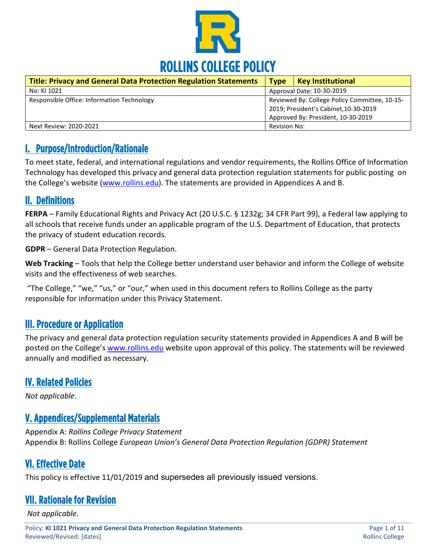

| <b>Title: Privacy and General Data Protection Regulation Statements</b> | <b>Type</b>                                                                                                                  | <b>Key Institutional</b> |
|-------------------------------------------------------------------------|------------------------------------------------------------------------------------------------------------------------------|--------------------------|
| No: KI 1021                                                             | Approval Date: 10-30-2019                                                                                                    |                          |
| Responsible Office: Information Technology                              | Reviewed By: College Policy Committee, 10-15-<br>2019; President's Cabinet, 10-30-2019<br>Approved By: President, 10-30-2019 |                          |
| Next Review: 2020-2021                                                  | Revision No:                                                                                                                 |                          |

### I. Purpose/Introduction/Rationale

To meet state, federal, and international regulations and vendor requirements, the Rollins Office of Information Technology has developed this privacy and general data protection regulation statements for public posting on the College's website [\(www.rollins.edu\)](http://www.rollins.edu/). The statements are provided in Appendices A and B.

## II. Definitions

**FERPA** – Family Educational Rights and Privacy Act (20 U.S.C. § 1232g; 34 CFR Part 99), a Federal law applying to all schools that receive funds under an applicable program of the U.S. Department of Education, that protects the privacy of student education records.

**GDPR** – General Data Protection Regulation.

**Web Tracking** – Tools that help the College better understand user behavior and inform the College of website visits and the effectiveness of web searches.

"The College," "we," "us," or "our," when used in this document refers to Rollins College as the party responsible for information under this Privacy Statement.

## III. Procedure or Application

The privacy and general data protection regulation security statements provided in Appendices A and B will be posted on the College's [www.rollins.edu](http://www.rollins.edu/) website upon approval of this policy. The statements will be reviewed annually and modified as necessary.

## IV. Related Policies

*Not applicable.*

## V. Appendices/Supplemental Materials

Appendix A: *Rollins College Privacy Statement* Appendix B: Rollins College *European Union's General Data Protection Regulation (GDPR) Statement*

## VI. Effective Date

This policy is effective 11/01/2019 and supersedes all previously issued versions.

## VII. Rationale for Revision

*Not applicable.*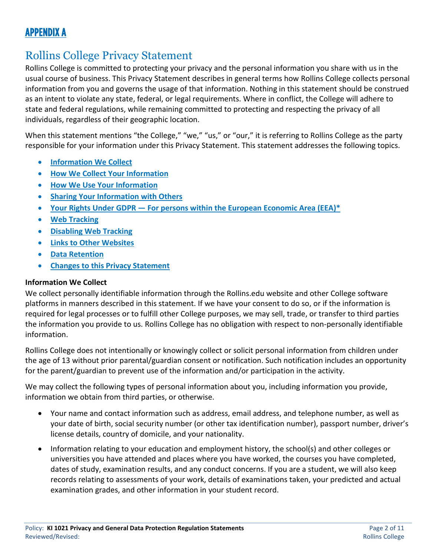# APPENDIX A

# Rollins College Privacy Statement

Rollins College is committed to protecting your privacy and the personal information you share with us in the usual course of business. This Privacy Statement describes in general terms how Rollins College collects personal information from you and governs the usage of that information. Nothing in this statement should be construed as an intent to violate any state, federal, or legal requirements. Where in conflict, the College will adhere to state and federal regulations, while remaining committed to protecting and respecting the privacy of all individuals, regardless of their geographic location.

When this statement mentions "the College," "we," "us," or "our," it is referring to Rollins College as the party responsible for your information under this Privacy Statement. This statement addresses the following topics.

- **[Information We Collect](https://www.rollins.edu/it/help-desk/gdpr2.html#a2)**
- **[How We Collect Your Information](https://www.rollins.edu/it/help-desk/gdpr2.html#a3)**
- **[How We Use Your Information](https://www.rollins.edu/it/help-desk/gdpr2.html#a4)**
- **[Sharing Your Information with Others](https://www.rollins.edu/it/help-desk/gdpr2.html#a5)**
- **Your Rights Under GDPR — [For persons within the European Economic Area \(EEA\)\\*](https://www.rollins.edu/it/help-desk/gdpr2.html#a1)**
- **[Web Tracking](https://www.rollins.edu/it/help-desk/gdpr2.html#a6)**
- **[Disabling Web Tracking](https://www.rollins.edu/it/help-desk/gdpr2.html#a11)**
- **[Links to Other Websites](https://www.rollins.edu/it/help-desk/gdpr2.html#a7)**
- **[Data Retention](https://www.rollins.edu/it/help-desk/gdpr2.html#a8)**
- **[Changes to this Privacy Statement](https://www.rollins.edu/it/help-desk/gdpr2.html#a10)**

#### **Information We Collect**

We collect personally identifiable information through the Rollins.edu website and other College software platforms in manners described in this statement. If we have your consent to do so, or if the information is required for legal processes or to fulfill other College purposes, we may sell, trade, or transfer to third parties the information you provide to us. Rollins College has no obligation with respect to non-personally identifiable information.

Rollins College does not intentionally or knowingly collect or solicit personal information from children under the age of 13 without prior parental/guardian consent or notification. Such notification includes an opportunity for the parent/guardian to prevent use of the information and/or participation in the activity.

We may collect the following types of personal information about you, including information you provide, information we obtain from third parties, or otherwise.

- Your name and contact information such as address, email address, and telephone number, as well as your date of birth, social security number (or other tax identification number), passport number, driver's license details, country of domicile, and your nationality.
- Information relating to your education and employment history, the school(s) and other colleges or universities you have attended and places where you have worked, the courses you have completed, dates of study, examination results, and any conduct concerns. If you are a student, we will also keep records relating to assessments of your work, details of examinations taken, your predicted and actual examination grades, and other information in your student record.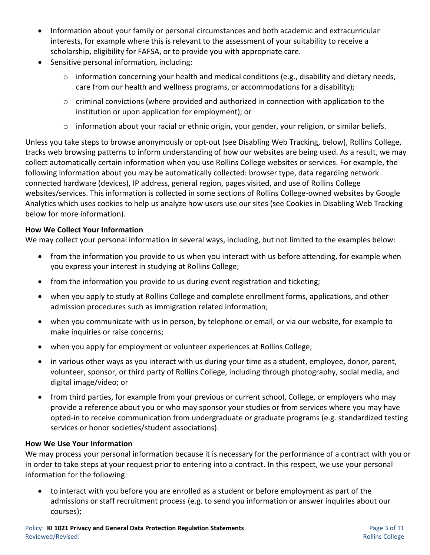- Information about your family or personal circumstances and both academic and extracurricular interests, for example where this is relevant to the assessment of your suitability to receive a scholarship, eligibility for FAFSA, or to provide you with appropriate care.
- Sensitive personal information, including:
	- o information concerning your health and medical conditions (e.g., disability and dietary needs, care from our health and wellness programs, or accommodations for a disability);
	- $\circ$  criminal convictions (where provided and authorized in connection with application to the institution or upon application for employment); or
	- $\circ$  information about your racial or ethnic origin, your gender, your religion, or similar beliefs.

Unless you take steps to browse anonymously or opt-out (see Disabling Web Tracking, below), Rollins College, tracks web browsing patterns to inform understanding of how our websites are being used. As a result, we may collect automatically certain information when you use Rollins College websites or services. For example, the following information about you may be automatically collected: browser type, data regarding network connected hardware (devices), IP address, general region, pages visited, and use of Rollins College websites/services. This information is collected in some sections of Rollins College-owned websites by Google Analytics which uses cookies to help us analyze how users use our sites (see Cookies in Disabling Web Tracking below for more information).

### **How We Collect Your Information**

We may collect your personal information in several ways, including, but not limited to the examples below:

- from the information you provide to us when you interact with us before attending, for example when you express your interest in studying at Rollins College;
- from the information you provide to us during event registration and ticketing;
- when you apply to study at Rollins College and complete enrollment forms, applications, and other admission procedures such as immigration related information;
- when you communicate with us in person, by telephone or email, or via our website, for example to make inquiries or raise concerns;
- when you apply for employment or volunteer experiences at Rollins College;
- in various other ways as you interact with us during your time as a student, employee, donor, parent, volunteer, sponsor, or third party of Rollins College, including through photography, social media, and digital image/video; or
- from third parties, for example from your previous or current school, College, or employers who may provide a reference about you or who may sponsor your studies or from services where you may have opted-in to receive communication from undergraduate or graduate programs (e.g. standardized testing services or honor societies/student associations).

#### **How We Use Your Information**

We may process your personal information because it is necessary for the performance of a contract with you or in order to take steps at your request prior to entering into a contract. In this respect, we use your personal information for the following:

• to interact with you before you are enrolled as a student or before employment as part of the admissions or staff recruitment process (e.g. to send you information or answer inquiries about our courses);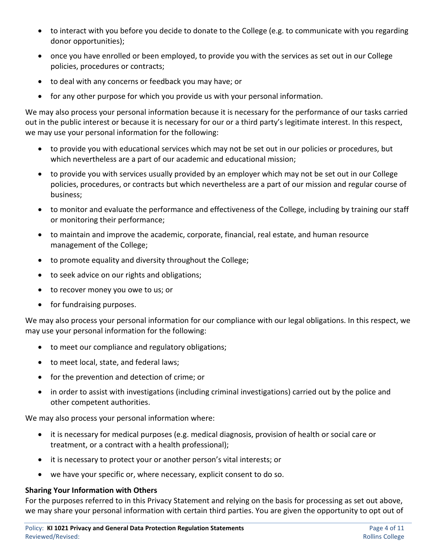- to interact with you before you decide to donate to the College (e.g. to communicate with you regarding donor opportunities);
- once you have enrolled or been employed, to provide you with the services as set out in our College policies, procedures or contracts;
- to deal with any concerns or feedback you may have; or
- for any other purpose for which you provide us with your personal information.

We may also process your personal information because it is necessary for the performance of our tasks carried out in the public interest or because it is necessary for our or a third party's legitimate interest. In this respect, we may use your personal information for the following:

- to provide you with educational services which may not be set out in our policies or procedures, but which nevertheless are a part of our academic and educational mission;
- to provide you with services usually provided by an employer which may not be set out in our College policies, procedures, or contracts but which nevertheless are a part of our mission and regular course of business;
- to monitor and evaluate the performance and effectiveness of the College, including by training our staff or monitoring their performance;
- to maintain and improve the academic, corporate, financial, real estate, and human resource management of the College;
- to promote equality and diversity throughout the College;
- to seek advice on our rights and obligations;
- to recover money you owe to us; or
- for fundraising purposes.

We may also process your personal information for our compliance with our legal obligations. In this respect, we may use your personal information for the following:

- to meet our compliance and regulatory obligations;
- to meet local, state, and federal laws;
- for the prevention and detection of crime; or
- in order to assist with investigations (including criminal investigations) carried out by the police and other competent authorities.

We may also process your personal information where:

- it is necessary for medical purposes (e.g. medical diagnosis, provision of health or social care or treatment, or a contract with a health professional);
- it is necessary to protect your or another person's vital interests; or
- we have your specific or, where necessary, explicit consent to do so.

#### **Sharing Your Information with Others**

For the purposes referred to in this Privacy Statement and relying on the basis for processing as set out above, we may share your personal information with certain third parties. You are given the opportunity to opt out of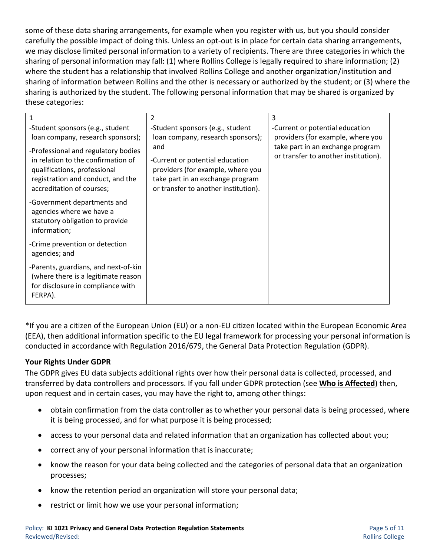some of these data sharing arrangements, for example when you register with us, but you should consider carefully the possible impact of doing this. Unless an opt-out is in place for certain data sharing arrangements, we may disclose limited personal information to a variety of recipients. There are three categories in which the sharing of personal information may fall: (1) where Rollins College is legally required to share information; (2) where the student has a relationship that involved Rollins College and another organization/institution and sharing of information between Rollins and the other is necessary or authorized by the student; or (3) where the sharing is authorized by the student. The following personal information that may be shared is organized by these categories:

|                                                                                                                                                                                                                                                      | 2                                                                                                                                                                                                                                | 3                                                                                                                                                |
|------------------------------------------------------------------------------------------------------------------------------------------------------------------------------------------------------------------------------------------------------|----------------------------------------------------------------------------------------------------------------------------------------------------------------------------------------------------------------------------------|--------------------------------------------------------------------------------------------------------------------------------------------------|
| -Student sponsors (e.g., student<br>loan company, research sponsors);<br>-Professional and regulatory bodies<br>in relation to the confirmation of<br>qualifications, professional<br>registration and conduct, and the<br>accreditation of courses; | -Student sponsors (e.g., student<br>loan company, research sponsors);<br>and<br>-Current or potential education<br>providers (for example, where you<br>take part in an exchange program<br>or transfer to another institution). | -Current or potential education<br>providers (for example, where you<br>take part in an exchange program<br>or transfer to another institution). |
| -Government departments and<br>agencies where we have a<br>statutory obligation to provide<br>information;                                                                                                                                           |                                                                                                                                                                                                                                  |                                                                                                                                                  |
| -Crime prevention or detection<br>agencies; and                                                                                                                                                                                                      |                                                                                                                                                                                                                                  |                                                                                                                                                  |
| -Parents, guardians, and next-of-kin<br>(where there is a legitimate reason<br>for disclosure in compliance with<br>FERPA).                                                                                                                          |                                                                                                                                                                                                                                  |                                                                                                                                                  |

\*If you are a citizen of the European Union (EU) or a non-EU citizen located within the European Economic Area (EEA), then additional information specific to the EU legal framework for processing your personal information is conducted in accordance with Regulation 2016/679, the General Data Protection Regulation (GDPR).

#### **Your Rights Under GDPR**

The GDPR gives EU data subjects additional rights over how their personal data is collected, processed, and transferred by data controllers and processors. If you fall under GDPR protection (see **Who is Affected**) then, upon request and in certain cases, you may have the right to, among other things:

- obtain confirmation from the data controller as to whether your personal data is being processed, where it is being processed, and for what purpose it is being processed;
- access to your personal data and related information that an organization has collected about you;
- correct any of your personal information that is inaccurate;
- know the reason for your data being collected and the categories of personal data that an organization processes;
- know the retention period an organization will store your personal data;
- restrict or limit how we use your personal information;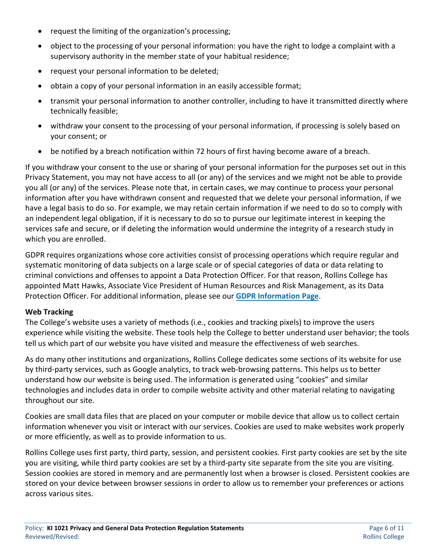- request the limiting of the organization's processing;
- object to the processing of your personal information: you have the right to lodge a complaint with a supervisory authority in the member state of your habitual residence;
- request your personal information to be deleted;
- obtain a copy of your personal information in an easily accessible format;
- transmit your personal information to another controller, including to have it transmitted directly where technically feasible;
- withdraw your consent to the processing of your personal information, if processing is solely based on your consent; or
- be notified by a breach notification within 72 hours of first having become aware of a breach.

If you withdraw your consent to the use or sharing of your personal information for the purposes set out in this Privacy Statement, you may not have access to all (or any) of the services and we might not be able to provide you all (or any) of the services. Please note that, in certain cases, we may continue to process your personal information after you have withdrawn consent and requested that we delete your personal information, if we have a legal basis to do so. For example, we may retain certain information if we need to do so to comply with an independent legal obligation, if it is necessary to do so to pursue our legitimate interest in keeping the services safe and secure, or if deleting the information would undermine the integrity of a research study in which you are enrolled.

GDPR requires organizations whose core activities consist of processing operations which require regular and systematic monitoring of data subjects on a large scale or of special categories of data or data relating to criminal convictions and offenses to appoint a Data Protection Officer. For that reason, Rollins College has appointed Matt Hawks, Associate Vice President of Human Resources and Risk Management, as its Data Protection Officer. For additional information, please see our **[GDPR Information Page](https://www.rollins.edu/it/help-desk/gdpr.html)**.

#### **Web Tracking**

The College's website uses a variety of methods (i.e., cookies and tracking pixels) to improve the users experience while visiting the website. These tools help the College to better understand user behavior; the tools tell us which part of our website you have visited and measure the effectiveness of web searches.

As do many other institutions and organizations, Rollins College dedicates some sections of its website for use by third-party services, such as Google analytics, to track web-browsing patterns. This helps us to better understand how our website is being used. The information is generated using "cookies" and similar technologies and includes data in order to compile website activity and other material relating to navigating throughout our site.

Cookies are small data files that are placed on your computer or mobile device that allow us to collect certain information whenever you visit or interact with our services. Cookies are used to make websites work properly or more efficiently, as well as to provide information to us.

Rollins College uses first party, third party, session, and persistent cookies. First party cookies are set by the site you are visiting, while third party cookies are set by a third-party site separate from the site you are visiting. Session cookies are stored in memory and are permanently lost when a browser is closed. Persistent cookies are stored on your device between browser sessions in order to allow us to remember your preferences or actions across various sites.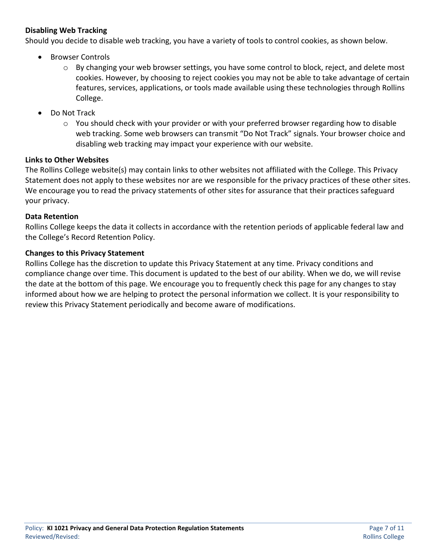#### **Disabling Web Tracking**

Should you decide to disable web tracking, you have a variety of tools to control cookies, as shown below.

- Browser Controls
	- $\circ$  By changing your web browser settings, you have some control to block, reject, and delete most cookies. However, by choosing to reject cookies you may not be able to take advantage of certain features, services, applications, or tools made available using these technologies through Rollins College.
- Do Not Track
	- o You should check with your provider or with your preferred browser regarding how to disable web tracking. Some web browsers can transmit "Do Not Track" signals. Your browser choice and disabling web tracking may impact your experience with our website.

#### **Links to Other Websites**

The Rollins College website(s) may contain links to other websites not affiliated with the College. This Privacy Statement does not apply to these websites nor are we responsible for the privacy practices of these other sites. We encourage you to read the privacy statements of other sites for assurance that their practices safeguard your privacy.

#### **Data Retention**

Rollins College keeps the data it collects in accordance with the retention periods of applicable federal law and the College's Record Retention Policy.

#### **Changes to this Privacy Statement**

Rollins College has the discretion to update this Privacy Statement at any time. Privacy conditions and compliance change over time. This document is updated to the best of our ability. When we do, we will revise the date at the bottom of this page. We encourage you to frequently check this page for any changes to stay informed about how we are helping to protect the personal information we collect. It is your responsibility to review this Privacy Statement periodically and become aware of modifications.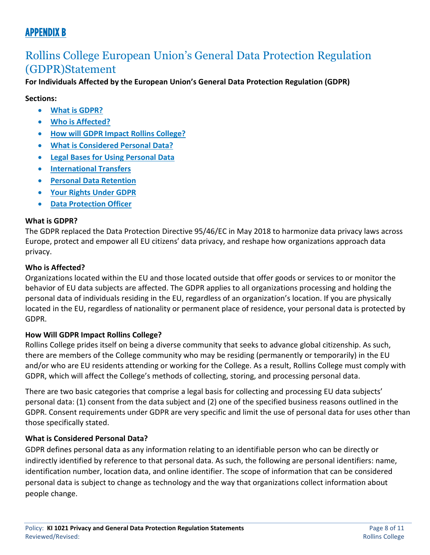# APPENDIX B

# Rollins College European Union's General Data Protection Regulation (GDPR)Statement

**For Individuals Affected by the European Union's General Data Protection Regulation (GDPR)**

**Sections:**

- **[What is GDPR?](https://www.rollins.edu/it/help-desk/gdpr.html#a1)**
- **[Who is Affected?](https://www.rollins.edu/it/help-desk/gdpr.html#a2)**
- **[How will GDPR Impact Rollins College?](https://www.rollins.edu/it/help-desk/gdpr.html#a3)**
- **[What is Considered Personal Data?](https://www.rollins.edu/it/help-desk/gdpr.html#a4)**
- **[Legal Bases for Using Personal Data](https://www.rollins.edu/it/help-desk/gdpr.html#a5)**
- **[International Transfers](https://www.rollins.edu/it/help-desk/gdpr.html#a6)**
- **[Personal Data Retention](https://www.rollins.edu/it/help-desk/gdpr.html#a7)**
- **[Your Rights Under GDPR](https://www.rollins.edu/it/help-desk/gdpr.html#a8)**
- **[Data Protection Officer](https://www.rollins.edu/it/help-desk/gdpr.html#a9)**

#### **What is GDPR?**

The GDPR replaced the Data Protection Directive 95/46/EC in May 2018 to harmonize data privacy laws across Europe, protect and empower all EU citizens' data privacy, and reshape how organizations approach data privacy.

#### <span id="page-7-0"></span>**Who is Affected?**

Organizations located within the EU and those located outside that offer goods or services to or monitor the behavior of EU data subjects are affected. The GDPR applies to all organizations processing and holding the personal data of individuals residing in the EU, regardless of an organization's location. If you are physically located in the EU, regardless of nationality or permanent place of residence, your personal data is protected by GDPR.

### **How Will GDPR Impact Rollins College?**

Rollins College prides itself on being a diverse community that seeks to advance global citizenship. As such, there are members of the College community who may be residing (permanently or temporarily) in the EU and/or who are EU residents attending or working for the College. As a result, Rollins College must comply with GDPR, which will affect the College's methods of collecting, storing, and processing personal data.

There are two basic categories that comprise a legal basis for collecting and processing EU data subjects' personal data: (1) consent from the data subject and (2) one of the specified business reasons outlined in the GDPR. Consent requirements under GDPR are very specific and limit the use of personal data for uses other than those specifically stated.

### **What is Considered Personal Data?**

GDPR defines personal data as any information relating to an identifiable person who can be directly or indirectly identified by reference to that personal data. As such, the following are personal identifiers: name, identification number, location data, and online identifier. The scope of information that can be considered personal data is subject to change as technology and the way that organizations collect information about people change.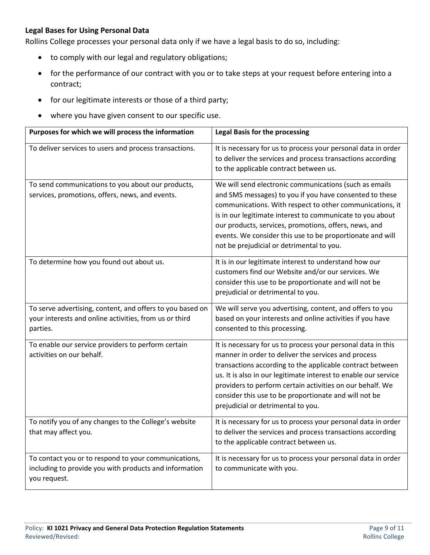#### **Legal Bases for Using Personal Data**

Rollins College processes your personal data only if we have a legal basis to do so, including:

- to comply with our legal and regulatory obligations;
- for the performance of our contract with you or to take steps at your request before entering into a contract;
- for our legitimate interests or those of a third party;
- where you have given consent to our specific use.

| Purposes for which we will process the information                                                                              | <b>Legal Basis for the processing</b>                                                                                                                                                                                                                                                                                                                                                                           |
|---------------------------------------------------------------------------------------------------------------------------------|-----------------------------------------------------------------------------------------------------------------------------------------------------------------------------------------------------------------------------------------------------------------------------------------------------------------------------------------------------------------------------------------------------------------|
| To deliver services to users and process transactions.                                                                          | It is necessary for us to process your personal data in order<br>to deliver the services and process transactions according<br>to the applicable contract between us.                                                                                                                                                                                                                                           |
| To send communications to you about our products,<br>services, promotions, offers, news, and events.                            | We will send electronic communications (such as emails<br>and SMS messages) to you if you have consented to these<br>communications. With respect to other communications, it<br>is in our legitimate interest to communicate to you about<br>our products, services, promotions, offers, news, and<br>events. We consider this use to be proportionate and will<br>not be prejudicial or detrimental to you.   |
| To determine how you found out about us.                                                                                        | It is in our legitimate interest to understand how our<br>customers find our Website and/or our services. We<br>consider this use to be proportionate and will not be<br>prejudicial or detrimental to you.                                                                                                                                                                                                     |
| To serve advertising, content, and offers to you based on<br>your interests and online activities, from us or third<br>parties. | We will serve you advertising, content, and offers to you<br>based on your interests and online activities if you have<br>consented to this processing.                                                                                                                                                                                                                                                         |
| To enable our service providers to perform certain<br>activities on our behalf.                                                 | It is necessary for us to process your personal data in this<br>manner in order to deliver the services and process<br>transactions according to the applicable contract between<br>us. It is also in our legitimate interest to enable our service<br>providers to perform certain activities on our behalf. We<br>consider this use to be proportionate and will not be<br>prejudicial or detrimental to you. |
| To notify you of any changes to the College's website<br>that may affect you.                                                   | It is necessary for us to process your personal data in order<br>to deliver the services and process transactions according<br>to the applicable contract between us.                                                                                                                                                                                                                                           |
| To contact you or to respond to your communications,<br>including to provide you with products and information<br>you request.  | It is necessary for us to process your personal data in order<br>to communicate with you.                                                                                                                                                                                                                                                                                                                       |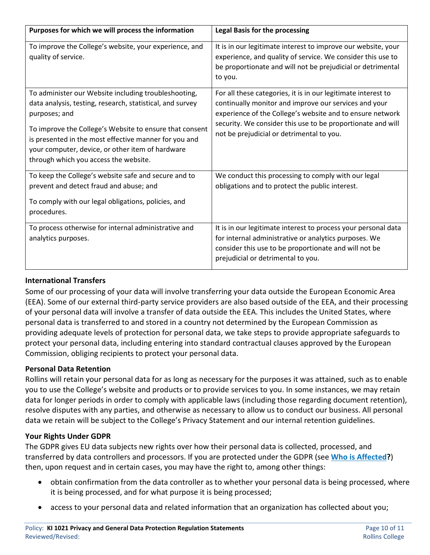| Purposes for which we will process the information                                                                                                                                                                                                                                                                                                  | <b>Legal Basis for the processing</b>                                                                                                                                                                                                                                                           |
|-----------------------------------------------------------------------------------------------------------------------------------------------------------------------------------------------------------------------------------------------------------------------------------------------------------------------------------------------------|-------------------------------------------------------------------------------------------------------------------------------------------------------------------------------------------------------------------------------------------------------------------------------------------------|
| To improve the College's website, your experience, and<br>quality of service.                                                                                                                                                                                                                                                                       | It is in our legitimate interest to improve our website, your<br>experience, and quality of service. We consider this use to<br>be proportionate and will not be prejudicial or detrimental<br>to you.                                                                                          |
| To administer our Website including troubleshooting,<br>data analysis, testing, research, statistical, and survey<br>purposes; and<br>To improve the College's Website to ensure that consent<br>is presented in the most effective manner for you and<br>your computer, device, or other item of hardware<br>through which you access the website. | For all these categories, it is in our legitimate interest to<br>continually monitor and improve our services and your<br>experience of the College's website and to ensure network<br>security. We consider this use to be proportionate and will<br>not be prejudicial or detrimental to you. |
| To keep the College's website safe and secure and to<br>prevent and detect fraud and abuse; and<br>To comply with our legal obligations, policies, and<br>procedures.                                                                                                                                                                               | We conduct this processing to comply with our legal<br>obligations and to protect the public interest.                                                                                                                                                                                          |
| To process otherwise for internal administrative and<br>analytics purposes.                                                                                                                                                                                                                                                                         | It is in our legitimate interest to process your personal data<br>for internal administrative or analytics purposes. We<br>consider this use to be proportionate and will not be<br>prejudicial or detrimental to you.                                                                          |

### **International Transfers**

Some of our processing of your data will involve transferring your data outside the European Economic Area (EEA). Some of our external third-party service providers are also based outside of the EEA, and their processing of your personal data will involve a transfer of data outside the EEA. This includes the United States, where personal data is transferred to and stored in a country not determined by the European Commission as providing adequate levels of protection for personal data, we take steps to provide appropriate safeguards to protect your personal data, including entering into standard contractual clauses approved by the European Commission, obliging recipients to protect your personal data.

#### **Personal Data Retention**

Rollins will retain your personal data for as long as necessary for the purposes it was attained, such as to enable you to use the College's website and products or to provide services to you. In some instances, we may retain data for longer periods in order to comply with applicable laws (including those regarding document retention), resolve disputes with any parties, and otherwise as necessary to allow us to conduct our business. All personal data we retain will be subject to the College's Privacy Statement and our internal retention guidelines.

#### **Your Rights Under GDPR**

The GDPR gives EU data subjects new rights over how their personal data is collected, processed, and transferred by data controllers and processors. If you are protected under the GDPR (see **[Who is Affected?](#page-7-0)**) then, upon request and in certain cases, you may have the right to, among other things:

- obtain confirmation from the data controller as to whether your personal data is being processed, where it is being processed, and for what purpose it is being processed;
- access to your personal data and related information that an organization has collected about you;